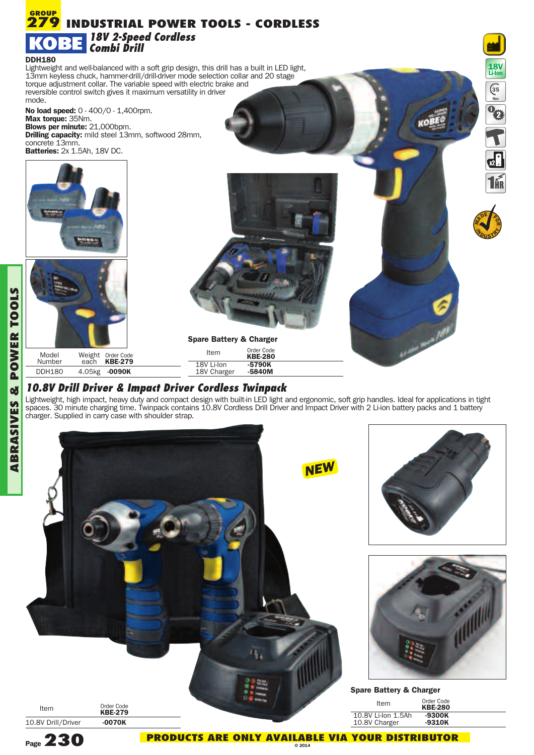

## *10.8V Drill Driver & Impact Driver Cordless Twinpack*

Lightweight, high impact, heavy duty and compact design with built-in LED light and ergonomic, soft grip handles. Ideal for applications in tight spaces. 30 minute charging time. Twinpack contains 10.8V Cordless Drill Driver and Impact Driver with 2 Li-ion battery packs and 1 battery charger. Supplied in carry case with shoulder strap.



**L**

**GROUP**